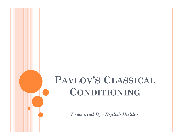#### PAVLOV'S CLASSICAL CONDITIONING VLOV'S CLASSICAL<br>CONDITIONING<br>Presented By : Biplab Halder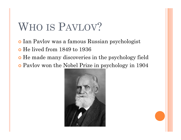# WHO IS PAVLOV?<br>• Ian Pavlov was a famous Russian psycholo

- Ian Pavlov was a famous Russian psychologist
- He lived from 1849 to 1936
- He made many discoveries in the psychology field
- Pavlov won the Nobel Prize in psychology in 1904

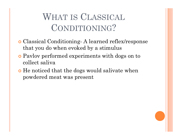### WHAT IS CLASSICAL<br>CONDITIONING? CONDITIONING?

- WHAT IS CLASSICAL<br>
CONDITIONING?<br>
o Classical Conditioning- A learned reflex/response<br>
that you do when evoked by a stimulus<br>
o Paylov performed experiments with dogs on to that you do when evoked by a stimulus
- Pavlov performed experiments with dogs on to collect saliva
- He noticed that the dogs would salivate when powdered meat was present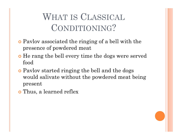### WHAT IS CLASSICAL<br>CONDITIONING? CONDITIONING?

- Pavlov associated the ringing of a bell with the presence of powdered meat
- He rang the bell every time the dogs were served food
- Pavlov started ringing the bell and the dogs would salivate without the powdered meat being present
- Thus, a learned reflex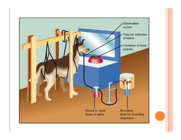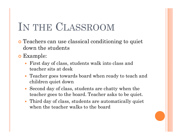# IN THE CLASSROOM<br>
• Teachers can use classical conditioning to quiet

- Teachers can use classical conditioning to quiet down the students
- Example:
	- First day of class, students walk into class and teacher sits at desk
	- Teacher goes towards board when ready to teach and children quiet down
	- Second day of class, students are chatty when the teacher goes to the board. Teacher asks to be quiet.
	- Third day of class, students are automatically quiet when the teacher walks to the board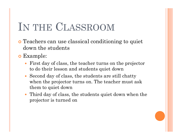# IN THE CLASSROOM<br>
• Teachers can use classical conditioning to quiet

- Teachers can use classical conditioning to quiet down the students
- Example:
	- First day of class, the teacher turns on the projector to do their lesson and students quiet down
	- Second day of class, the students are still chatty when the projector turns on. The teacher must ask them to quiet down
	- Third day of class, the students quiet down when the projector is turned on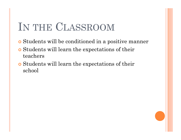# IN THE CLASSROOM<br>
• Students will be conditioned in a positive manner

- Students will be conditioned in a positive manner
- Students will learn the expectations of their teachers
- Students will learn the expectations of their school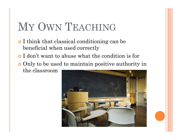#### MY OWN TEACHING

- I think that classical conditioning can be beneficial when used correctly
- I don't want to abuse what the condition is for
- Only to be used to maintain positive authority in the classroom